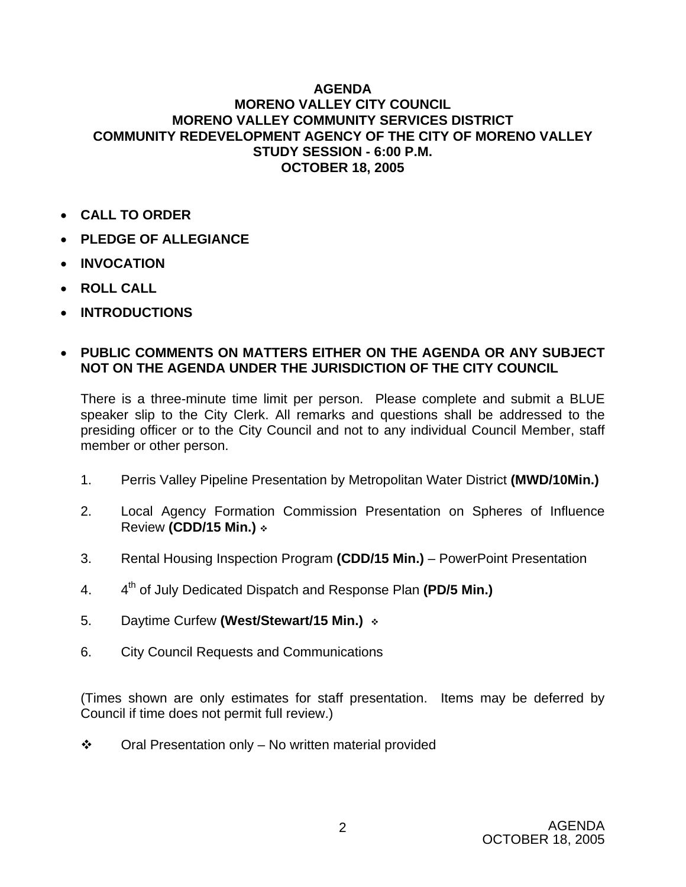## **AGENDA MORENO VALLEY CITY COUNCIL MORENO VALLEY COMMUNITY SERVICES DISTRICT COMMUNITY REDEVELOPMENT AGENCY OF THE CITY OF MORENO VALLEY STUDY SESSION - 6:00 P.M. OCTOBER 18, 2005**

- **CALL TO ORDER**
- **PLEDGE OF ALLEGIANCE**
- **INVOCATION**
- **ROLL CALL**
- **INTRODUCTIONS**

## • **PUBLIC COMMENTS ON MATTERS EITHER ON THE AGENDA OR ANY SUBJECT NOT ON THE AGENDA UNDER THE JURISDICTION OF THE CITY COUNCIL**

There is a three-minute time limit per person. Please complete and submit a BLUE speaker slip to the City Clerk. All remarks and questions shall be addressed to the presiding officer or to the City Council and not to any individual Council Member, staff member or other person.

- 1. Perris Valley Pipeline Presentation by Metropolitan Water District **(MWD/10Min.)**
- 2. Local Agency Formation Commission Presentation on Spheres of Influence Review **(CDD/15 Min.)**
- 3. Rental Housing Inspection Program **(CDD/15 Min.)**  PowerPoint Presentation
- 4. 4th of July Dedicated Dispatch and Response Plan **(PD/5 Min.)**
- 5. Daytime Curfew **(West/Stewart/15 Min.)**
- 6. City Council Requests and Communications

(Times shown are only estimates for staff presentation. Items may be deferred by Council if time does not permit full review.)

 $\div$  Oral Presentation only – No written material provided